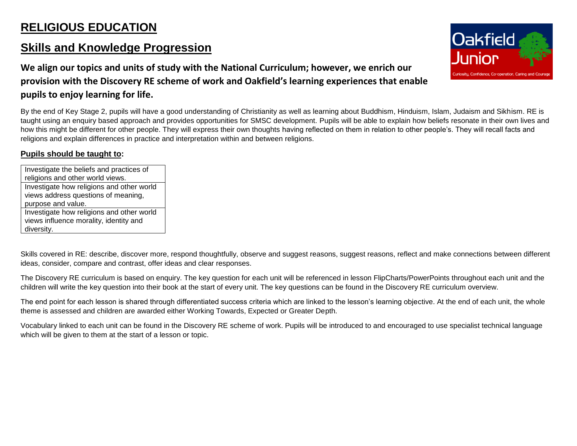## **RELIGIOUS EDUCATION**

## **Skills and Knowledge Progression**

**We align our topics and units of study with the National Curriculum; however, we enrich our provision with the Discovery RE scheme of work and Oakfield's learning experiences that enable pupils to enjoy learning for life.** 

By the end of Key Stage 2, pupils will have a good understanding of Christianity as well as learning about Buddhism, Hinduism, Islam, Judaism and Sikhism. RE is taught using an enquiry based approach and provides opportunities for SMSC development. Pupils will be able to explain how beliefs resonate in their own lives and how this might be different for other people. They will express their own thoughts having reflected on them in relation to other people's. They will recall facts and religions and explain differences in practice and interpretation within and between religions.

## **Pupils should be taught to:**

Investigate the beliefs and practices of religions and other world views. Investigate how religions and other world views address questions of meaning, purpose and value. Investigate how religions and other world views influence morality, identity and diversity.

Skills covered in RE: describe, discover more, respond thoughtfully, observe and suggest reasons, suggest reasons, reflect and make connections between different ideas, consider, compare and contrast, offer ideas and clear responses.

The Discovery RE curriculum is based on enquiry. The key question for each unit will be referenced in lesson FlipCharts/PowerPoints throughout each unit and the children will write the key question into their book at the start of every unit. The key questions can be found in the Discovery RE curriculum overview.

The end point for each lesson is shared through differentiated success criteria which are linked to the lesson's learning objective. At the end of each unit, the whole theme is assessed and children are awarded either Working Towards, Expected or Greater Depth.

Vocabulary linked to each unit can be found in the Discovery RE scheme of work. Pupils will be introduced to and encouraged to use specialist technical language which will be given to them at the start of a lesson or topic.

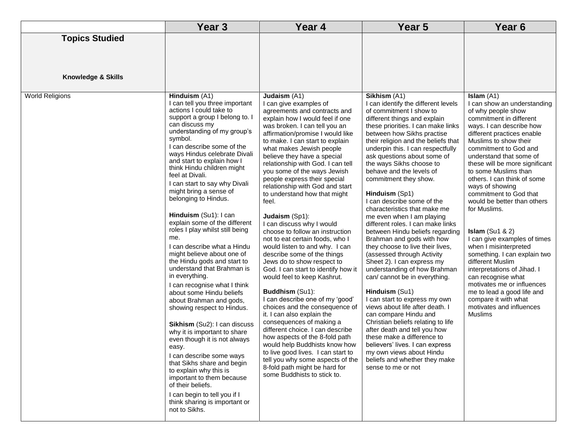|                                             | Year <sub>3</sub>                                                                                                                                                                                                                                                                                                                                                                                                                                                                                                                                                                                                                                                                                                                                                                                                                                                                                                                                                                                                                                                                                              | Year 4                                                                                                                                                                                                                                                                                                                                                                                                                                                                                                                                                                                                                                                                                                                                                                                                                                                                                                                                                                                                                                                                                                                                                           | Year <sub>5</sub>                                                                                                                                                                                                                                                                                                                                                                                                                                                                                                                                                                                                                                                                                                                                                                                                                                                                                                                                                                                                                                                                                          | Year <sub>6</sub>                                                                                                                                                                                                                                                                                                                                                                                                                                                                                                                                                                                                                                                                                                                                 |
|---------------------------------------------|----------------------------------------------------------------------------------------------------------------------------------------------------------------------------------------------------------------------------------------------------------------------------------------------------------------------------------------------------------------------------------------------------------------------------------------------------------------------------------------------------------------------------------------------------------------------------------------------------------------------------------------------------------------------------------------------------------------------------------------------------------------------------------------------------------------------------------------------------------------------------------------------------------------------------------------------------------------------------------------------------------------------------------------------------------------------------------------------------------------|------------------------------------------------------------------------------------------------------------------------------------------------------------------------------------------------------------------------------------------------------------------------------------------------------------------------------------------------------------------------------------------------------------------------------------------------------------------------------------------------------------------------------------------------------------------------------------------------------------------------------------------------------------------------------------------------------------------------------------------------------------------------------------------------------------------------------------------------------------------------------------------------------------------------------------------------------------------------------------------------------------------------------------------------------------------------------------------------------------------------------------------------------------------|------------------------------------------------------------------------------------------------------------------------------------------------------------------------------------------------------------------------------------------------------------------------------------------------------------------------------------------------------------------------------------------------------------------------------------------------------------------------------------------------------------------------------------------------------------------------------------------------------------------------------------------------------------------------------------------------------------------------------------------------------------------------------------------------------------------------------------------------------------------------------------------------------------------------------------------------------------------------------------------------------------------------------------------------------------------------------------------------------------|---------------------------------------------------------------------------------------------------------------------------------------------------------------------------------------------------------------------------------------------------------------------------------------------------------------------------------------------------------------------------------------------------------------------------------------------------------------------------------------------------------------------------------------------------------------------------------------------------------------------------------------------------------------------------------------------------------------------------------------------------|
| <b>Topics Studied</b><br>Knowledge & Skills |                                                                                                                                                                                                                                                                                                                                                                                                                                                                                                                                                                                                                                                                                                                                                                                                                                                                                                                                                                                                                                                                                                                |                                                                                                                                                                                                                                                                                                                                                                                                                                                                                                                                                                                                                                                                                                                                                                                                                                                                                                                                                                                                                                                                                                                                                                  |                                                                                                                                                                                                                                                                                                                                                                                                                                                                                                                                                                                                                                                                                                                                                                                                                                                                                                                                                                                                                                                                                                            |                                                                                                                                                                                                                                                                                                                                                                                                                                                                                                                                                                                                                                                                                                                                                   |
| <b>World Religions</b>                      | Hinduism (A1)<br>I can tell you three important<br>actions I could take to<br>support a group I belong to. I<br>can discuss my<br>understanding of my group's<br>symbol.<br>I can describe some of the<br>ways Hindus celebrate Divali<br>and start to explain how I<br>think Hindu children might<br>feel at Divali.<br>I can start to say why Divali<br>might bring a sense of<br>belonging to Hindus.<br>Hinduism (Su1): I can<br>explain some of the different<br>roles I play whilst still being<br>me.<br>I can describe what a Hindu<br>might believe about one of<br>the Hindu gods and start to<br>understand that Brahman is<br>in everything.<br>I can recognise what I think<br>about some Hindu beliefs<br>about Brahman and gods,<br>showing respect to Hindus.<br>Sikhism (Su2): I can discuss<br>why it is important to share<br>even though it is not always<br>easy.<br>I can describe some ways<br>that Sikhs share and begin<br>to explain why this is<br>important to them because<br>of their beliefs.<br>I can begin to tell you if I<br>think sharing is important or<br>not to Sikhs. | Judaism (A1)<br>I can give examples of<br>agreements and contracts and<br>explain how I would feel if one<br>was broken. I can tell you an<br>affirmation/promise I would like<br>to make. I can start to explain<br>what makes Jewish people<br>believe they have a special<br>relationship with God. I can tell<br>you some of the ways Jewish<br>people express their special<br>relationship with God and start<br>to understand how that might<br>feel.<br>Judaism (Sp1):<br>I can discuss why I would<br>choose to follow an instruction<br>not to eat certain foods, who I<br>would listen to and why. I can<br>describe some of the things<br>Jews do to show respect to<br>God. I can start to identify how it<br>would feel to keep Kashrut.<br><b>Buddhism (Su1):</b><br>I can describe one of my 'good'<br>choices and the consequence of<br>it. I can also explain the<br>consequences of making a<br>different choice. I can describe<br>how aspects of the 8-fold path<br>would help Buddhists know how<br>to live good lives. I can start to<br>tell you why some aspects of the<br>8-fold path might be hard for<br>some Buddhists to stick to. | Sikhism (A1)<br>I can identify the different levels<br>of commitment I show to<br>different things and explain<br>these priorities. I can make links<br>between how Sikhs practise<br>their religion and the beliefs that<br>underpin this. I can respectfully<br>ask questions about some of<br>the ways Sikhs choose to<br>behave and the levels of<br>commitment they show.<br>Hinduism (Sp1)<br>I can describe some of the<br>characteristics that make me<br>me even when I am playing<br>different roles. I can make links<br>between Hindu beliefs regarding<br>Brahman and gods with how<br>they choose to live their lives,<br>(assessed through Activity<br>Sheet 2). I can express my<br>understanding of how Brahman<br>can/ cannot be in everything.<br>Hinduism (Su1)<br>I can start to express my own<br>views about life after death. I<br>can compare Hindu and<br>Christian beliefs relating to life<br>after death and tell you how<br>these make a difference to<br>believers' lives. I can express<br>my own views about Hindu<br>beliefs and whether they make<br>sense to me or not | Islam $(A1)$<br>I can show an understanding<br>of why people show<br>commitment in different<br>ways. I can describe how<br>different practices enable<br>Muslims to show their<br>commitment to God and<br>understand that some of<br>these will be more significant<br>to some Muslims than<br>others. I can think of some<br>ways of showing<br>commitment to God that<br>would be better than others<br>for Muslims.<br>Islam $(Su1 & 2)$<br>I can give examples of times<br>when I misinterpreted<br>something. I can explain two<br>different Muslim<br>interpretations of Jihad. I<br>can recognise what<br>motivates me or influences<br>me to lead a good life and<br>compare it with what<br>motivates and influences<br><b>Muslims</b> |